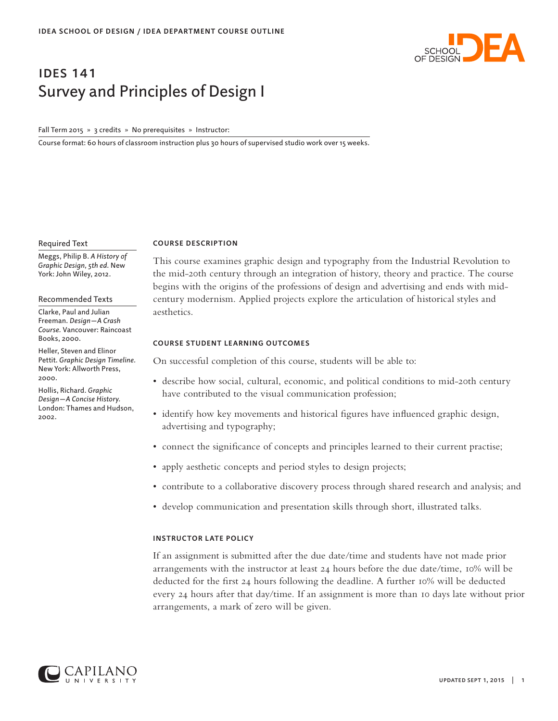

# ides 141 Survey and Principles of Design I

Fall Term 2015 » 3 credits » No prerequisites » Instructor:

Course format: 60 hours of classroom instruction plus 30 hours of supervised studio work over 15 weeks.

### Required Text

Meggs, Philip B. *A History of Graphic Design, 5th ed.* New York: John Wiley, 2012.

## Recommended Texts

Clarke, Paul and Julian Freeman. *Design—A Crash Course.* Vancouver: Raincoast Books, 2000.

Heller, Steven and Elinor Pettit. *Graphic Design Timeline.* New York: Allworth Press, 2000.

Hollis, Richard. *Graphic Design—A Concise History.* London: Thames and Hudson, 2002.

## **COURSE DESCRIPTION**

This course examines graphic design and typography from the Industrial Revolution to the mid-20th century through an integration of history, theory and practice. The course begins with the origins of the professions of design and advertising and ends with midcentury modernism. Applied projects explore the articulation of historical styles and aesthetics.

# **COURSE STUDENT LEARNING OUTCOMES**

On successful completion of this course, students will be able to:

- describe how social, cultural, economic, and political conditions to mid-20th century have contributed to the visual communication profession;
- identify how key movements and historical figures have influenced graphic design, advertising and typography;
- connect the significance of concepts and principles learned to their current practise;
- apply aesthetic concepts and period styles to design projects;
- contribute to a collaborative discovery process through shared research and analysis; and
- develop communication and presentation skills through short, illustrated talks.

# **INSTRUCTOR LATE POLICY**

If an assignment is submitted after the due date/time and students have not made prior arrangements with the instructor at least 24 hours before the due date/time, 10% will be deducted for the first 24 hours following the deadline. A further 10% will be deducted every 24 hours after that day/time. If an assignment is more than 10 days late without prior arrangements, a mark of zero will be given.

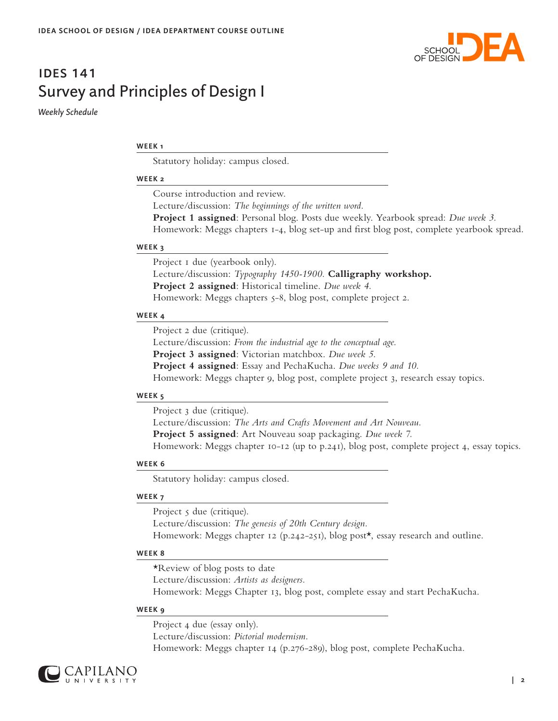

# ides 141 Survey and Principles of Design I

*Weekly Schedule*

# **WEEK 1**

Statutory holiday: campus closed.

# **WEEK 2**

Course introduction and review. Lecture/discussion: *The beginnings of the written word.*  **Project 1 assigned**: Personal blog. Posts due weekly. Yearbook spread: *Due week 3.* Homework: Meggs chapters 1-4, blog set-up and first blog post, complete yearbook spread.

# **WEEK 3**

Project I due (yearbook only). Lecture/discussion: *Typography 1450-1900.* **Calligraphy workshop. Project 2 assigned**: Historical timeline. *Due week 4.* Homework: Meggs chapters 5-8, blog post, complete project 2.

# **WEEK 4**

Project 2 due (critique). Lecture/discussion: *From the industrial age to the conceptual age.* **Project 3 assigned**: Victorian matchbox. *Due week 5.* **Project 4 assigned**: Essay and PechaKucha. *Due weeks 9 and 10.* Homework: Meggs chapter 9, blog post, complete project 3, research essay topics.

# **WEEK 5**

Project 3 due (critique).

Lecture/discussion: *The Arts and Crafts Movement and Art Nouveau.* 

**Project 5 assigned**: Art Nouveau soap packaging. *Due week 7.*

Homework: Meggs chapter 10-12 (up to p.241), blog post, complete project 4, essay topics.

# **WEEK 6**

Statutory holiday: campus closed.

# **WEEK 7**

Project  $\zeta$  due (critique). Lecture/discussion: *The genesis of 20th Century design.* Homework: Meggs chapter 12 (p.242-251), blog post\*, essay research and outline.

# **WEEK 8**

\*Review of blog posts to date Lecture/discussion: *Artists as designers.*  Homework: Meggs Chapter 13, blog post, complete essay and start PechaKucha.

# **WEEK 9**

Project 4 due (essay only). Lecture/discussion: *Pictorial modernism.*  Homework: Meggs chapter 14 (p.276-289), blog post, complete PechaKucha.

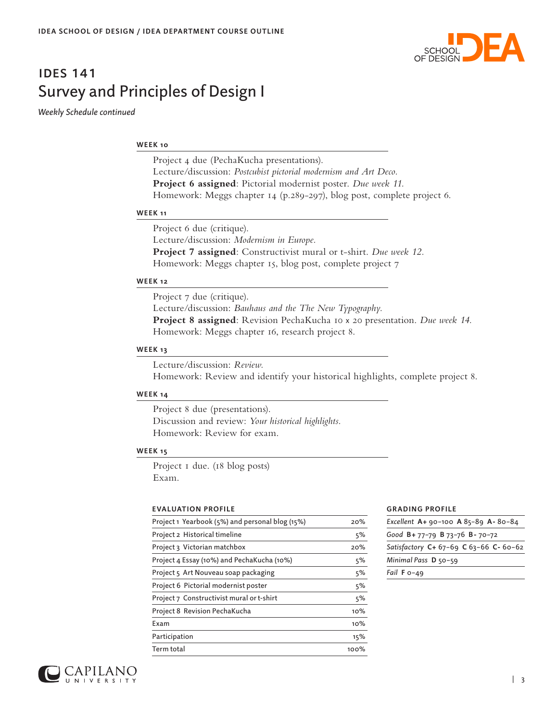

# ides 141 Survey and Principles of Design I

*Weekly Schedule continued*

# **WEEK 10**

Project 4 due (PechaKucha presentations). Lecture/discussion: *Postcubist pictorial modernism and Art Deco.*  **Project 6 assigned**: Pictorial modernist poster. *Due week 11.* Homework: Meggs chapter 14 (p.289-297), blog post, complete project 6.

## **WEEK 11**

Project 6 due (critique). Lecture/discussion: *Modernism in Europe.*  **Project 7 assigned**: Constructivist mural or t-shirt. *Due week 12.* Homework: Meggs chapter 15, blog post, complete project 7

# **WEEK 12**

Project 7 due (critique). Lecture/discussion: *Bauhaus and the The New Typography.*  **Project 8 assigned**: Revision PechaKucha 10 x 20 presentation. *Due week 14.* Homework: Meggs chapter 16, research project 8.

## **WEEK 13**

Lecture/discussion: *Review.* Homework: Review and identify your historical highlights, complete project 8.

# **WEEK 14**

Project 8 due (presentations). Discussion and review: *Your historical highlights.* Homework: Review for exam.

# **WEEK 15**

Project I due. (18 blog posts) Exam.

# **EVALUATION PROFILE**

| Project 1 Yearbook (5%) and personal blog (15%) | 20%     |
|-------------------------------------------------|---------|
| Project 2 Historical timeline                   | 5%      |
| Project 3 Victorian matchbox                    | 20%     |
| Project 4 Essay (10%) and PechaKucha (10%)      | 5%      |
| Project 5 Art Nouveau soap packaging            | 5%      |
| Project 6 Pictorial modernist poster            | 5%      |
| Project 7 Constructivist mural or t-shirt       | 5%      |
| Project 8 Revision PechaKucha                   | 10%     |
| Exam                                            | 10%     |
| Participation                                   | 15%     |
| Term total                                      | $100\%$ |

### **GRADING PROFILE**

| Excellent A+ 90-100 A 85-89 A-80-84    |
|----------------------------------------|
| Good B+ 77-79 B 73-76 B- 70-72         |
| Satisfactory C+ 67-69 C 63-66 C- 60-62 |
| Minimal Pass D 50-59                   |
| Fail $F_{0-49}$                        |
|                                        |